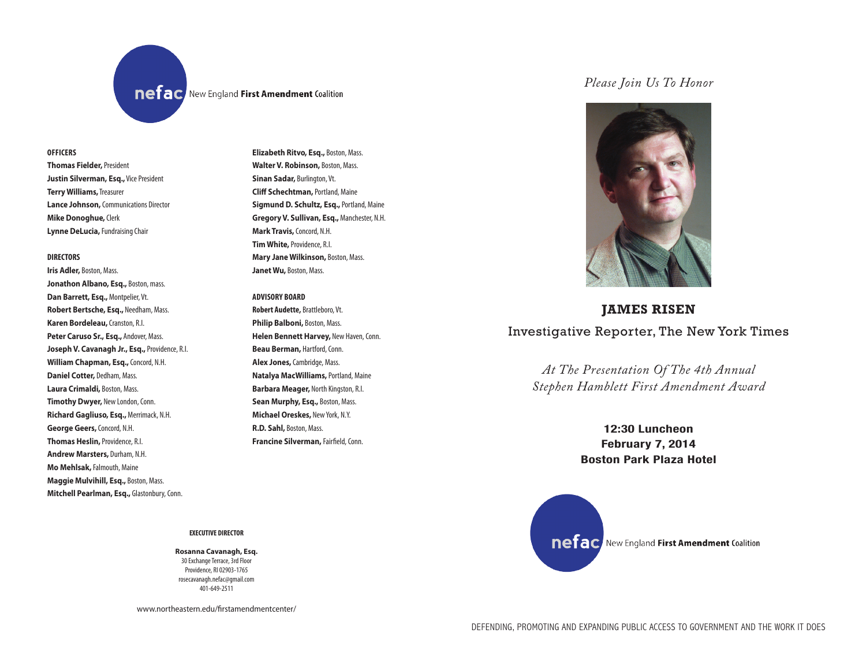**OFFICERS OFFICERS**

**Thomas Fielder,**President **Thomas Fielder,** President **Justin Silverman, Esq.,** Vice President **Justin Silverman, Esq.,** Vice President **Terry Williams,** Treasurer **Terry Williams,** Treasurer **Lance Johnson,** Communications Director **Lance Johnson,** Director **Mike Donoghue,** Clerk **Mike Donoghue,** Clerk **Lynne DeLucia,** Fundraising Chair **Lynne DeLucia,** Chair

## **DIRECTORS**

**Iris Adler,** Boston, Mass. **Jonathon Albano, Esq., Boston, mass. Dan Barrett, Esq., Montpelier, Vt.** Robert Bertsche, Esq., Needham, Mass. **Karen Bordeleau,** Cranston, R.I. Peter Caruso Sr., Esq., Andover, Mass. Joseph V. Cavanagh Jr., Esq., Providence, R.I. **William Chapman, Esq., Concord, N.H. Daniel Cotter, Dedham, Mass. Laura Crimaldi,** Boston, Mass. **Timothy Dwyer, New London, Conn. Richard Gagliuso, Esq.,** Merrimack, N.H. **George Geers,** Concord, N.H. **George Geers,** Concord, N.H. **Thomas Heslin, Providence, R.I. Andrew Marsters, Durham, N.H. Mo Mehlsak,** Falmouth, Maine **Maggie Mulvihill, Esq., Boston, Mass. Mitchell Pearlman, Esq., Glastonbury, Conn.** 

#### **EXECUTIVE DIRECTOR**

### **Rosanna Cavanagh, Esq.**

30 Exchange Terrace, 3rd Floor Providence, RI 02903-1765 rosecavanagh.nefac@gmail.com 401-649-2511

www.northeastern.edu/firstamendmentcenter/

**Elizabeth Ritvo, Esq.,** Boston, Mass. **Elizabeth Ritvo,** Boston, Mass. **Walter V. Robinson,** Boston, Mass. **Walter V. Robinson,**Mass. **Sinan Sadar,** Burlington, Vt. **Cliff Schechtman, Portland, Maine** Sigmund D. Schultz, Esq., Portland, Maine Gregory V. Sullivan, Esq., Manchester, N.H. **Mark Travis,** Concord, N.H. **Tim White, Providence, R.I. Mary Jane Wilkinson,** Boston, Mass. Janet Wu, Boston, Mass.

## **ADVISORY BOARD Beau Berman ,** Hartford, Conn.

**nefac** New England First Amendment Coalition

Robert Audette, Brattleboro, Vt. **Philip Balboni,** Boston, Mass. Helen Bennett Harvey, New Haven, Conn. **Beau Berman, Hartford, Conn. Alex Jones,** Cambridge, Mass. **Natalya MacWilliams, Portland, Maine** Barbara Meager, North Kingston, R.I. **Sean Murphy, Esq., Boston, Mass. Michael Oreskes,** New York, N.Y. **R.D. Sahl,** Boston, Mass. **Francine Silverman,** Fairfield, Conn.

# *Please Join Us To Honor*



# **JAMES RISEN** Investigative Reporter, The New York Times

*At The Presentation Of The 4th Annual Stephen Hamblett First Amendment Award*

> **12:30 Luncheon February 7, 2014 Boston Park Plaza Hotel**